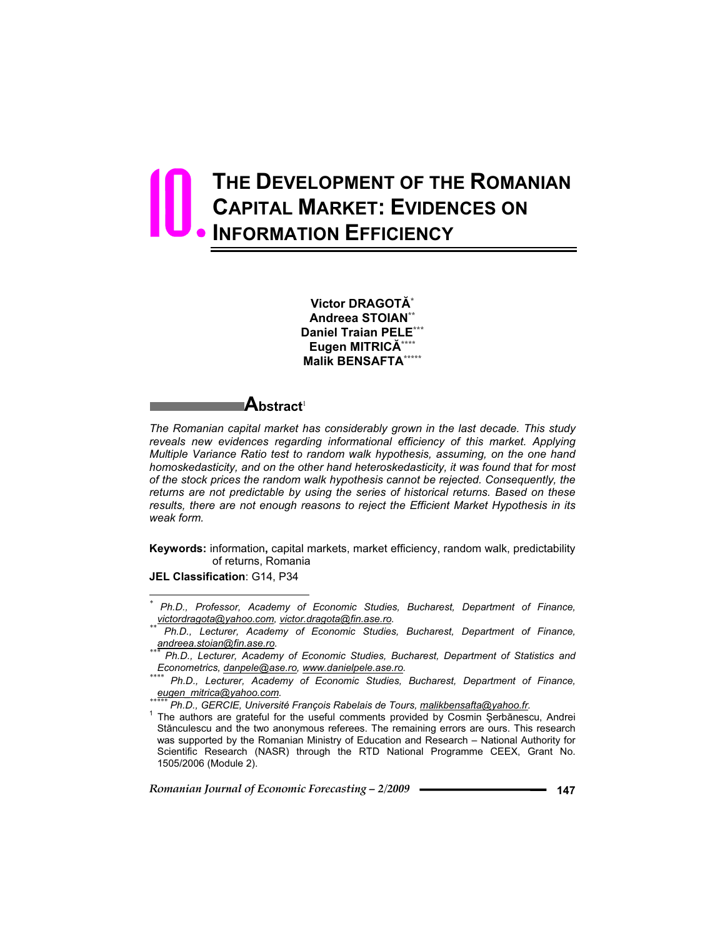# **THE DEVELOPMENT OF THE ROMANIAN CAPITAL MARKET: EVIDENCES ON INFORMATION EFFICIENCY**  10.

**Victor DRAGOT\* Andreea STOIAN\*\* Daniel Traian PELE\*\*\* Eugen MITRIC\*\*\*\* Malik BENSAFTA\*\*\*\*\***

### **Abstract**<sup>1</sup>

*The Romanian capital market has considerably grown in the last decade. This study*  reveals new evidences regarding informational efficiency of this market. Applying *Multiple Variance Ratio test to random walk hypothesis, assuming, on the one hand homoskedasticity, and on the other hand heteroskedasticity, it was found that for most of the stock prices the random walk hypothesis cannot be rejected. Consequently, the returns are not predictable by using the series of historical returns. Based on these*  results, there are not enough reasons to reject the Efficient Market Hypothesis in its *weak form.* 

**Keywords:** information**,** capital markets, market efficiency, random walk, predictability of returns, Romania

**JEL Classification**: G14, P34

 $\overline{a}$ 

*<sup>\*</sup> Ph.D., Professor, Academy of Economic Studies, Bucharest, Department of Finance,* 

*<sup>\*\*</sup>* Ph.D., Lecturer, Academy of Economic Studies, Bucharest, Department of Finance, <u>andreea.stoian@fin.ase.ro</u>.<br>*\*\*\* Ph.D., Lecture 6.2.* 

*andreea.stoian@fin.ase.ro. \*\*\* Ph.D., Lecturer, Academy of Economic Studies, Bucharest, Department of Statistics and* 

*Econometrics, danpele@ase.ro, www.danielpele.ase.ro. \*\*\*\* Ph.D., Lecturer, Academy of Economic Studies, Bucharest, Department of Finance,* 

*Ph.D., GERCIE, Université François Rabelais de Tours, malikbensafta@yahoo.fr.* 

The authors are grateful for the useful comments provided by Cosmin Şerbănescu, Andrei Stănculescu and the two anonymous referees. The remaining errors are ours. This research was supported by the Romanian Ministry of Education and Research – National Authority for Scientific Research (NASR) through the RTD National Programme CEEX, Grant No. 1505/2006 (Module 2).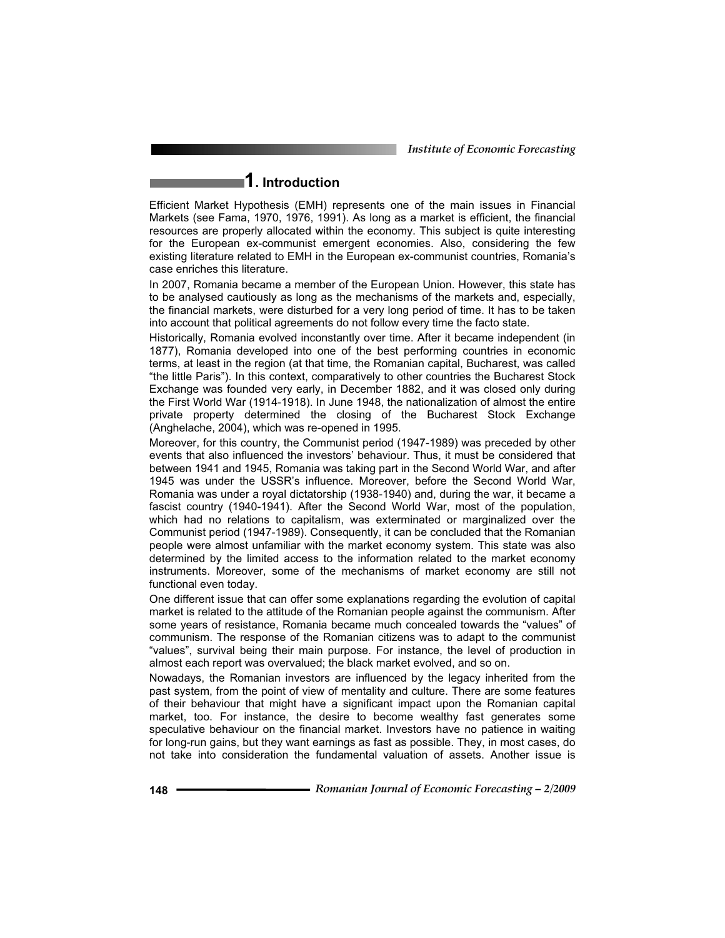*Institute of Economic Forecasting*

# **1. Introduction**

Efficient Market Hypothesis (EMH) represents one of the main issues in Financial Markets (see Fama, 1970, 1976, 1991). As long as a market is efficient, the financial resources are properly allocated within the economy. This subject is quite interesting for the European ex-communist emergent economies. Also, considering the few existing literature related to EMH in the European ex-communist countries, Romania's case enriches this literature.

In 2007, Romania became a member of the European Union. However, this state has to be analysed cautiously as long as the mechanisms of the markets and, especially, the financial markets, were disturbed for a very long period of time. It has to be taken into account that political agreements do not follow every time the facto state.

Historically, Romania evolved inconstantly over time. After it became independent (in 1877), Romania developed into one of the best performing countries in economic terms, at least in the region (at that time, the Romanian capital, Bucharest, was called "the little Paris"). In this context, comparatively to other countries the Bucharest Stock Exchange was founded very early, in December 1882, and it was closed only during the First World War (1914-1918). In June 1948, the nationalization of almost the entire private property determined the closing of the Bucharest Stock Exchange (Anghelache, 2004), which was re-opened in 1995.

Moreover, for this country, the Communist period (1947-1989) was preceded by other events that also influenced the investors' behaviour. Thus, it must be considered that between 1941 and 1945, Romania was taking part in the Second World War, and after 1945 was under the USSR's influence. Moreover, before the Second World War, Romania was under a royal dictatorship (1938-1940) and, during the war, it became a fascist country (1940-1941). After the Second World War, most of the population, which had no relations to capitalism, was exterminated or marginalized over the Communist period (1947-1989). Consequently, it can be concluded that the Romanian people were almost unfamiliar with the market economy system. This state was also determined by the limited access to the information related to the market economy instruments. Moreover, some of the mechanisms of market economy are still not functional even today.

One different issue that can offer some explanations regarding the evolution of capital market is related to the attitude of the Romanian people against the communism. After some years of resistance, Romania became much concealed towards the "values" of communism. The response of the Romanian citizens was to adapt to the communist "values", survival being their main purpose. For instance, the level of production in almost each report was overvalued; the black market evolved, and so on.

Nowadays, the Romanian investors are influenced by the legacy inherited from the past system, from the point of view of mentality and culture. There are some features of their behaviour that might have a significant impact upon the Romanian capital market, too. For instance, the desire to become wealthy fast generates some speculative behaviour on the financial market. Investors have no patience in waiting for long-run gains, but they want earnings as fast as possible. They, in most cases, do not take into consideration the fundamental valuation of assets. Another issue is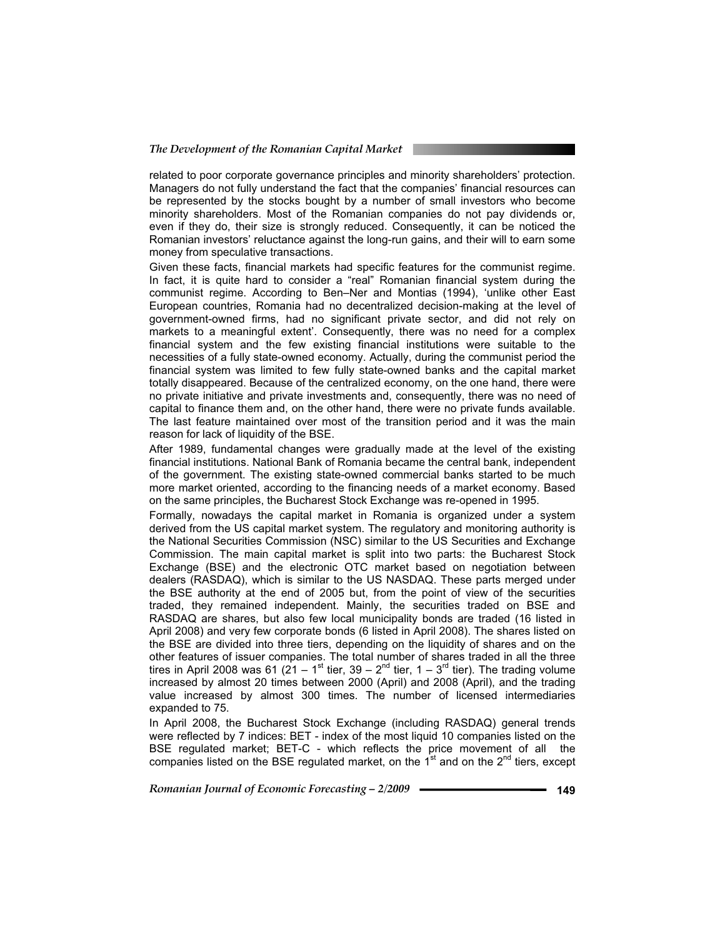related to poor corporate governance principles and minority shareholders' protection. Managers do not fully understand the fact that the companies' financial resources can be represented by the stocks bought by a number of small investors who become minority shareholders. Most of the Romanian companies do not pay dividends or, even if they do, their size is strongly reduced. Consequently, it can be noticed the Romanian investors' reluctance against the long-run gains, and their will to earn some money from speculative transactions.

Given these facts, financial markets had specific features for the communist regime. In fact, it is quite hard to consider a "real" Romanian financial system during the communist regime. According to Ben–Ner and Montias (1994), 'unlike other East European countries, Romania had no decentralized decision-making at the level of government-owned firms, had no significant private sector, and did not rely on markets to a meaningful extent'. Consequently, there was no need for a complex financial system and the few existing financial institutions were suitable to the necessities of a fully state-owned economy. Actually, during the communist period the financial system was limited to few fully state-owned banks and the capital market totally disappeared. Because of the centralized economy, on the one hand, there were no private initiative and private investments and, consequently, there was no need of capital to finance them and, on the other hand, there were no private funds available. The last feature maintained over most of the transition period and it was the main reason for lack of liquidity of the BSE.

After 1989, fundamental changes were gradually made at the level of the existing financial institutions. National Bank of Romania became the central bank, independent of the government. The existing state-owned commercial banks started to be much more market oriented, according to the financing needs of a market economy. Based on the same principles, the Bucharest Stock Exchange was re-opened in 1995.

Formally, nowadays the capital market in Romania is organized under a system derived from the US capital market system. The regulatory and monitoring authority is the National Securities Commission (NSC) similar to the US Securities and Exchange Commission. The main capital market is split into two parts: the Bucharest Stock Exchange (BSE) and the electronic OTC market based on negotiation between dealers (RASDAQ), which is similar to the US NASDAQ. These parts merged under the BSE authority at the end of 2005 but, from the point of view of the securities traded, they remained independent. Mainly, the securities traded on BSE and RASDAQ are shares, but also few local municipality bonds are traded (16 listed in April 2008) and very few corporate bonds (6 listed in April 2008). The shares listed on the BSE are divided into three tiers, depending on the liquidity of shares and on the other features of issuer companies. The total number of shares traded in all the three tires in April 2008 was 61 ( $21 - 1$ <sup>st</sup> tier,  $39 - 2<sup>nd</sup>$  tier,  $1 - 3<sup>rd</sup>$  tier). The trading volume increased by almost 20 times between 2000 (April) and 2008 (April), and the trading value increased by almost 300 times. The number of licensed intermediaries expanded to 75.

In April 2008, the Bucharest Stock Exchange (including RASDAQ) general trends were reflected by 7 indices: BET - index of the most liquid 10 companies listed on the BSE regulated market; BET-C - which reflects the price movement of all the companies listed on the BSE regulated market, on the  $1<sup>st</sup>$  and on the  $2<sup>nd</sup>$  tiers, except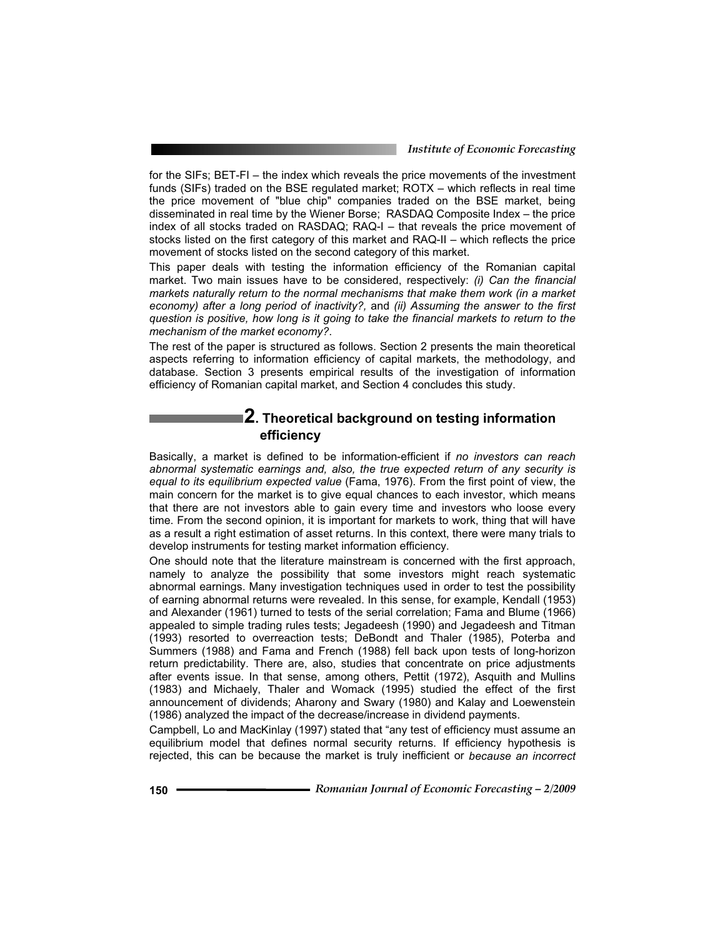*Institute of Economic Forecasting*

for the SIFs; BET-FI – the index which reveals the price movements of the investment funds (SIFs) traded on the BSE regulated market; ROTX – which reflects in real time the price movement of "blue chip" companies traded on the BSE market, being disseminated in real time by the Wiener Borse; RASDAQ Composite Index – the price index of all stocks traded on RASDAQ; RAQ-I – that reveals the price movement of stocks listed on the first category of this market and RAQ-II – which reflects the price movement of stocks listed on the second category of this market.

This paper deals with testing the information efficiency of the Romanian capital market. Two main issues have to be considered, respectively: *(i) Can the financial markets naturally return to the normal mechanisms that make them work (in a market economy) after a long period of inactivity?,* and *(ii) Assuming the answer to the first question is positive, how long is it going to take the financial markets to return to the mechanism of the market economy?*.

The rest of the paper is structured as follows. Section 2 presents the main theoretical aspects referring to information efficiency of capital markets, the methodology, and database. Section 3 presents empirical results of the investigation of information efficiency of Romanian capital market, and Section 4 concludes this study.

### **2. Theoretical background on testing information efficiency**

Basically, a market is defined to be information-efficient if *no investors can reach abnormal systematic earnings and, also, the true expected return of any security is equal to its equilibrium expected value* (Fama, 1976). From the first point of view, the main concern for the market is to give equal chances to each investor, which means that there are not investors able to gain every time and investors who loose every time. From the second opinion, it is important for markets to work, thing that will have as a result a right estimation of asset returns. In this context, there were many trials to develop instruments for testing market information efficiency.

One should note that the literature mainstream is concerned with the first approach, namely to analyze the possibility that some investors might reach systematic abnormal earnings. Many investigation techniques used in order to test the possibility of earning abnormal returns were revealed. In this sense, for example, Kendall (1953) and Alexander (1961) turned to tests of the serial correlation; Fama and Blume (1966) appealed to simple trading rules tests; Jegadeesh (1990) and Jegadeesh and Titman (1993) resorted to overreaction tests; DeBondt and Thaler (1985), Poterba and Summers (1988) and Fama and French (1988) fell back upon tests of long-horizon return predictability. There are, also, studies that concentrate on price adjustments after events issue. In that sense, among others, Pettit (1972), Asquith and Mullins (1983) and Michaely, Thaler and Womack (1995) studied the effect of the first announcement of dividends; Aharony and Swary (1980) and Kalay and Loewenstein (1986) analyzed the impact of the decrease/increase in dividend payments.

Campbell, Lo and MacKinlay (1997) stated that "any test of efficiency must assume an equilibrium model that defines normal security returns. If efficiency hypothesis is rejected, this can be because the market is truly inefficient or *because an incorrect*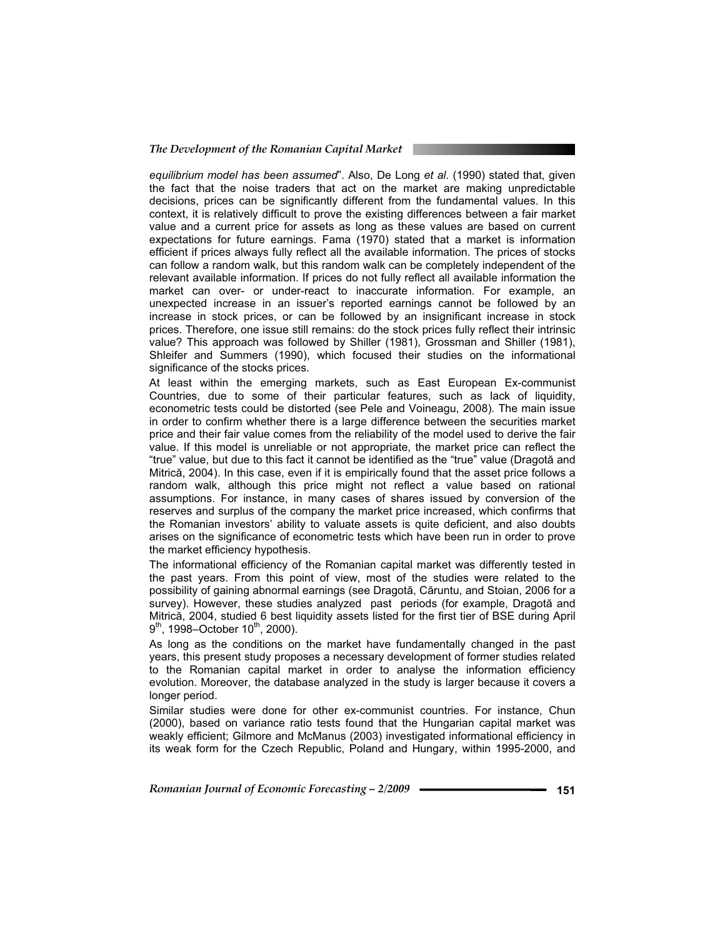#### *The Development of the Romanian Capital Market*

*equilibrium model has been assumed*". Also, De Long *et al*. (1990) stated that, given the fact that the noise traders that act on the market are making unpredictable decisions, prices can be significantly different from the fundamental values. In this context, it is relatively difficult to prove the existing differences between a fair market value and a current price for assets as long as these values are based on current expectations for future earnings. Fama (1970) stated that a market is information efficient if prices always fully reflect all the available information. The prices of stocks can follow a random walk, but this random walk can be completely independent of the relevant available information. If prices do not fully reflect all available information the market can over- or under-react to inaccurate information. For example, an unexpected increase in an issuer's reported earnings cannot be followed by an increase in stock prices, or can be followed by an insignificant increase in stock prices. Therefore, one issue still remains: do the stock prices fully reflect their intrinsic value? This approach was followed by Shiller (1981), Grossman and Shiller (1981), Shleifer and Summers (1990), which focused their studies on the informational significance of the stocks prices.

At least within the emerging markets, such as East European Ex-communist Countries, due to some of their particular features, such as lack of liquidity, econometric tests could be distorted (see Pele and Voineagu, 2008). The main issue in order to confirm whether there is a large difference between the securities market price and their fair value comes from the reliability of the model used to derive the fair value. If this model is unreliable or not appropriate, the market price can reflect the "true" value, but due to this fact it cannot be identified as the "true" value (Dragotă and Mitrică, 2004). In this case, even if it is empirically found that the asset price follows a random walk, although this price might not reflect a value based on rational assumptions. For instance, in many cases of shares issued by conversion of the reserves and surplus of the company the market price increased, which confirms that the Romanian investors' ability to valuate assets is quite deficient, and also doubts arises on the significance of econometric tests which have been run in order to prove the market efficiency hypothesis.

The informational efficiency of the Romanian capital market was differently tested in the past years. From this point of view, most of the studies were related to the possibility of gaining abnormal earnings (see Dragotă, Căruntu, and Stoian, 2006 for a survey). However, these studies analyzed past periods (for example, Dragotă and Mitrică, 2004, studied 6 best liquidity assets listed for the first tier of BSE during April  $9<sup>th</sup>$ , 1998–October 10<sup>th</sup>, 2000).

As long as the conditions on the market have fundamentally changed in the past years, this present study proposes a necessary development of former studies related to the Romanian capital market in order to analyse the information efficiency evolution. Moreover, the database analyzed in the study is larger because it covers a longer period.

Similar studies were done for other ex-communist countries. For instance, Chun (2000), based on variance ratio tests found that the Hungarian capital market was weakly efficient; Gilmore and McManus (2003) investigated informational efficiency in its weak form for the Czech Republic, Poland and Hungary, within 1995-2000, and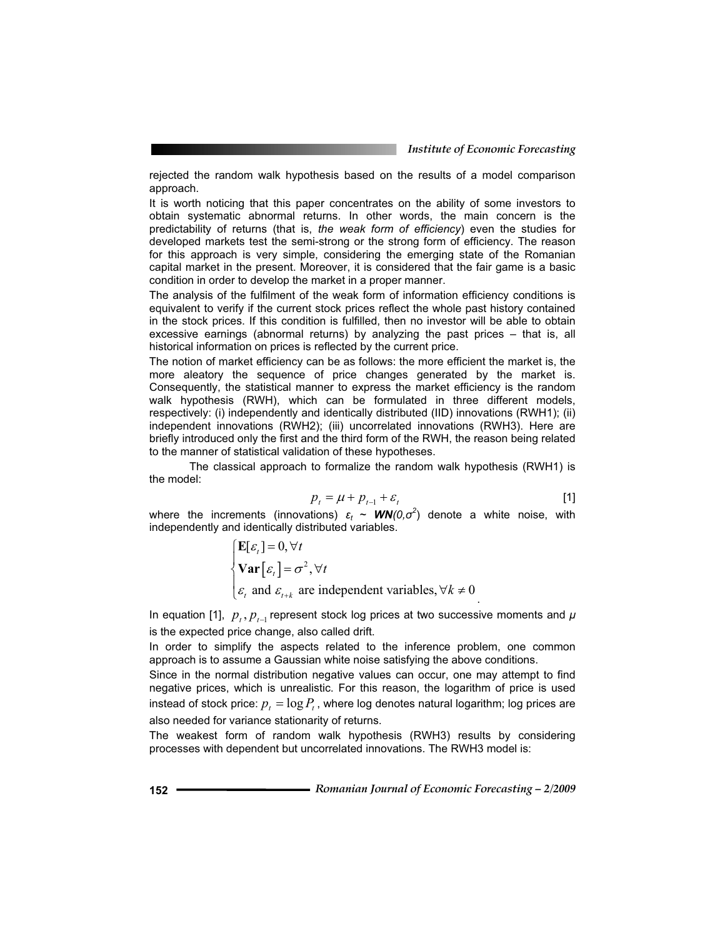rejected the random walk hypothesis based on the results of a model comparison approach.

It is worth noticing that this paper concentrates on the ability of some investors to obtain systematic abnormal returns. In other words, the main concern is the predictability of returns (that is, *the weak form of efficiency*) even the studies for developed markets test the semi-strong or the strong form of efficiency. The reason for this approach is very simple, considering the emerging state of the Romanian capital market in the present. Moreover, it is considered that the fair game is a basic condition in order to develop the market in a proper manner.

The analysis of the fulfilment of the weak form of information efficiency conditions is equivalent to verify if the current stock prices reflect the whole past history contained in the stock prices. If this condition is fulfilled, then no investor will be able to obtain excessive earnings (abnormal returns) by analyzing the past prices – that is, all historical information on prices is reflected by the current price.

The notion of market efficiency can be as follows: the more efficient the market is, the more aleatory the sequence of price changes generated by the market is. Consequently, the statistical manner to express the market efficiency is the random walk hypothesis (RWH), which can be formulated in three different models, respectively: (i) independently and identically distributed (IID) innovations (RWH1); (ii) independent innovations (RWH2); (iii) uncorrelated innovations (RWH3). Here are briefly introduced only the first and the third form of the RWH, the reason being related to the manner of statistical validation of these hypotheses.

 The classical approach to formalize the random walk hypothesis (RWH1) is the model:

$$
p_t = \mu + p_{t-1} + \varepsilon_t \tag{1}
$$

where the increments (innovations)  $\varepsilon_t$  ~  $\textit{WN}(0,\sigma^2)$  denote a white noise, with independently and identically distributed variables.

$$
\begin{cases} \mathbf{E}[\varepsilon_t] = 0, \forall t \\ \mathbf{Var}[\varepsilon_t] = \sigma^2, \forall t \\ \varepsilon_t \text{ and } \varepsilon_{t+k} \text{ are independent variables, } \forall k \neq 0 \end{cases}
$$

In equation [1],  $p_t$ ,  $p_{t-1}$  represent stock log prices at two successive moments and  $\mu$ is the expected price change, also called drift.

In order to simplify the aspects related to the inference problem, one common approach is to assume a Gaussian white noise satisfying the above conditions.

Since in the normal distribution negative values can occur, one may attempt to find negative prices, which is unrealistic. For this reason, the logarithm of price is used instead of stock price:  $p_t = \log P_t$ , where log denotes natural logarithm; log prices are also needed for variance stationarity of returns.

The weakest form of random walk hypothesis (RWH3) results by considering processes with dependent but uncorrelated innovations. The RWH3 model is: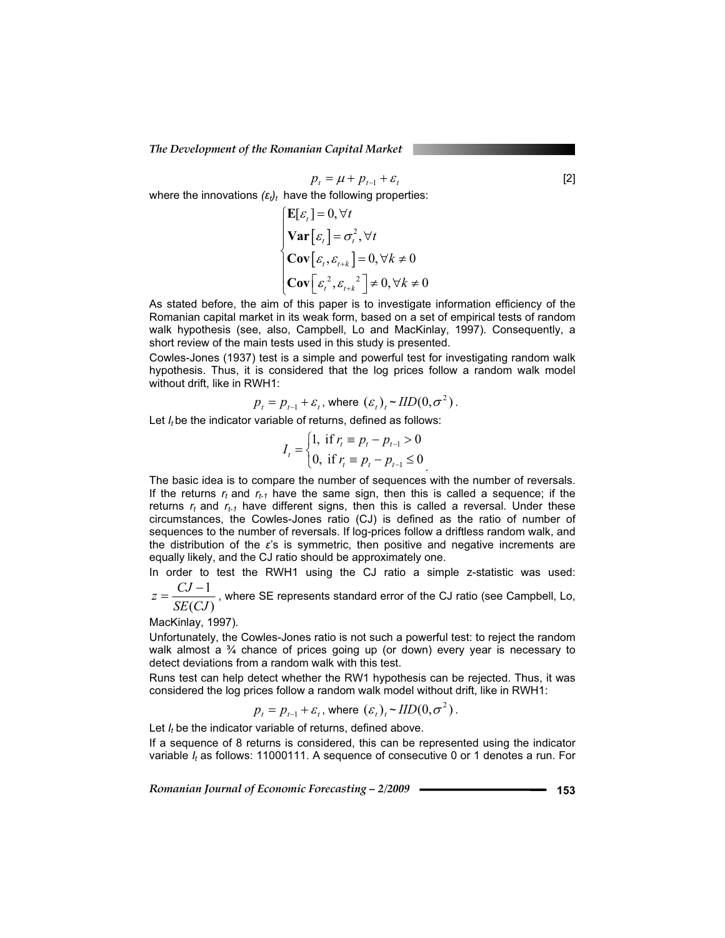*The Development of the Romanian Capital Market* 

$$
p_{t} = \mu + p_{t-1} + \varepsilon_{t}
$$
\n(2)  
\nwhere the innovations  $(\varepsilon_{t})_{t}$  have the following properties:  
\n
$$
\begin{cases}\n\mathbf{E}[\varepsilon_{t}] = 0, \forall t \\
\mathbf{Var}[\varepsilon_{t}] = \sigma_{t}^{2}, \forall t \\
\mathbf{Cov}[\varepsilon_{t}, \varepsilon_{t+k}] = 0, \forall k \neq 0 \\
\mathbf{Cov}[\varepsilon_{t}^{2}, \varepsilon_{t+k}^{2}] \neq 0, \forall k \neq 0\n\end{cases}
$$
\n[2]

As stated before, the aim of this paper is to investigate information efficiency of the Romanian capital market in its weak form, based on a set of empirical tests of random walk hypothesis (see, also, Campbell, Lo and MacKinlay, 1997). Consequently, a short review of the main tests used in this study is presented.

Cowles-Jones (1937) test is a simple and powerful test for investigating random walk hypothesis. Thus, it is considered that the log prices follow a random walk model without drift, like in RWH1:

$$
p_{t} = p_{t-1} + \varepsilon_{t}
$$
, where  $(\varepsilon_{t})_{t} \sim IID(0, \sigma^{2})$ .

Let *I<sub>t</sub>* be the indicator variable of returns, defined as follows:

$$
I_{t} = \begin{cases} 1, & \text{if } r_{t} \equiv p_{t} - p_{t-1} > 0 \\ 0, & \text{if } r_{t} \equiv p_{t} - p_{t-1} \le 0 \end{cases}
$$

The basic idea is to compare the number of sequences with the number of reversals. If the returns  $r_t$  and  $r_{t-1}$  have the same sign, then this is called a sequence; if the returns  $r_t$  and  $r_{t-1}$  have different signs, then this is called a reversal. Under these circumstances, the Cowles-Jones ratio (CJ) is defined as the ratio of number of sequences to the number of reversals. If log-prices follow a driftless random walk, and the distribution of the  $\varepsilon$ 's is symmetric, then positive and negative increments are equally likely, and the CJ ratio should be approximately one.

In order to test the RWH1 using the CJ ratio a simple z-statistic was used: 1  $z = \frac{CJ-1}{z}$ , where SE represents standard error of the CJ ratio (see Campbell, Lo,

 $(CJ)$ *SE CJ*

MacKinlay, 1997).

Unfortunately, the Cowles-Jones ratio is not such a powerful test: to reject the random walk almost a <sup>3</sup>/<sub>4</sub> chance of prices going up (or down) every year is necessary to detect deviations from a random walk with this test.

Runs test can help detect whether the RW1 hypothesis can be rejected. Thus, it was considered the log prices follow a random walk model without drift, like in RWH1:

$$
p_{t} = p_{t-1} + \varepsilon_{t}
$$
, where  $(\varepsilon_{t})_{t} \sim IID(0, \sigma^{2})$ .

Let *I<sub>t</sub>* be the indicator variable of returns, defined above.

If a sequence of 8 returns is considered, this can be represented using the indicator variable *It* as follows: 11000111. A sequence of consecutive 0 or 1 denotes a run. For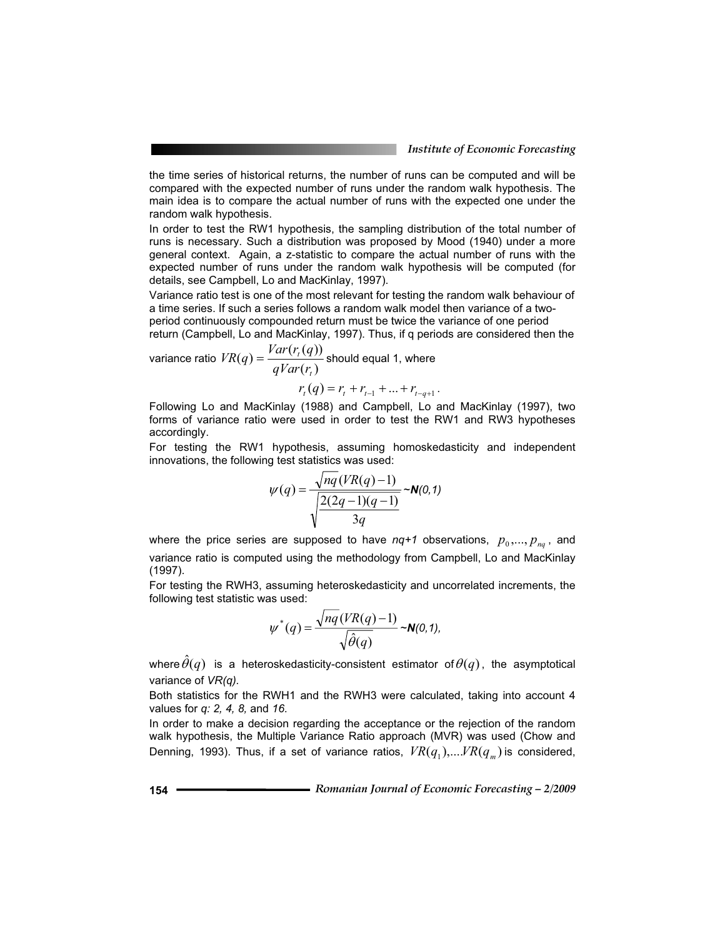the time series of historical returns, the number of runs can be computed and will be compared with the expected number of runs under the random walk hypothesis. The main idea is to compare the actual number of runs with the expected one under the random walk hypothesis.

In order to test the RW1 hypothesis, the sampling distribution of the total number of runs is necessary. Such a distribution was proposed by Mood (1940) under a more general context. Again, a z-statistic to compare the actual number of runs with the expected number of runs under the random walk hypothesis will be computed (for details, see Campbell, Lo and MacKinlay, 1997).

Variance ratio test is one of the most relevant for testing the random walk behaviour of a time series. If such a series follows a random walk model then variance of a twoperiod continuously compounded return must be twice the variance of one period

return (Campbell, Lo and MacKinlay, 1997). Thus, if q periods are considered then the

variance ratio 
$$
VR(q) = \frac{Var(r_i(q))}{qVar(r_i)}
$$
 should equal 1, where

 $r_t(q) = r_t + r_{t-1} + ... + r_{t-q+1}$ .

Following Lo and MacKinlay (1988) and Campbell, Lo and MacKinlay (1997), two forms of variance ratio were used in order to test the RW1 and RW3 hypotheses accordingly.

For testing the RW1 hypothesis, assuming homoskedasticity and independent innovations, the following test statistics was used:

$$
\psi(q) = \frac{\sqrt{nq}(VR(q) - 1)}{\sqrt{\frac{2(2q - 1)(q - 1)}{3q}}} \sim N(0, 1)
$$

where the price series are supposed to have  $nq+1$  observations,  $p_0, ..., p_m$ , and variance ratio is computed using the methodology from Campbell, Lo and MacKinlay (1997).

For testing the RWH3, assuming heteroskedasticity and uncorrelated increments, the following test statistic was used:

$$
\psi^*(q) = \frac{\sqrt{nq}(VR(q)-1)}{\sqrt{\hat{\theta}(q)}} \sim N(0,1),
$$

where  $\hat{\theta}(q)$  is a heteroskedasticity-consistent estimator of  $\theta(q)$ , the asymptotical variance of *VR(q).*

Both statistics for the RWH1 and the RWH3 were calculated, taking into account 4 values for *q: 2, 4, 8,* and *16*.

In order to make a decision regarding the acceptance or the rejection of the random walk hypothesis, the Multiple Variance Ratio approach (MVR) was used (Chow and Denning, 1993). Thus, if a set of variance ratios,  $VR(q_1),...,VR(q_m)$  is considered,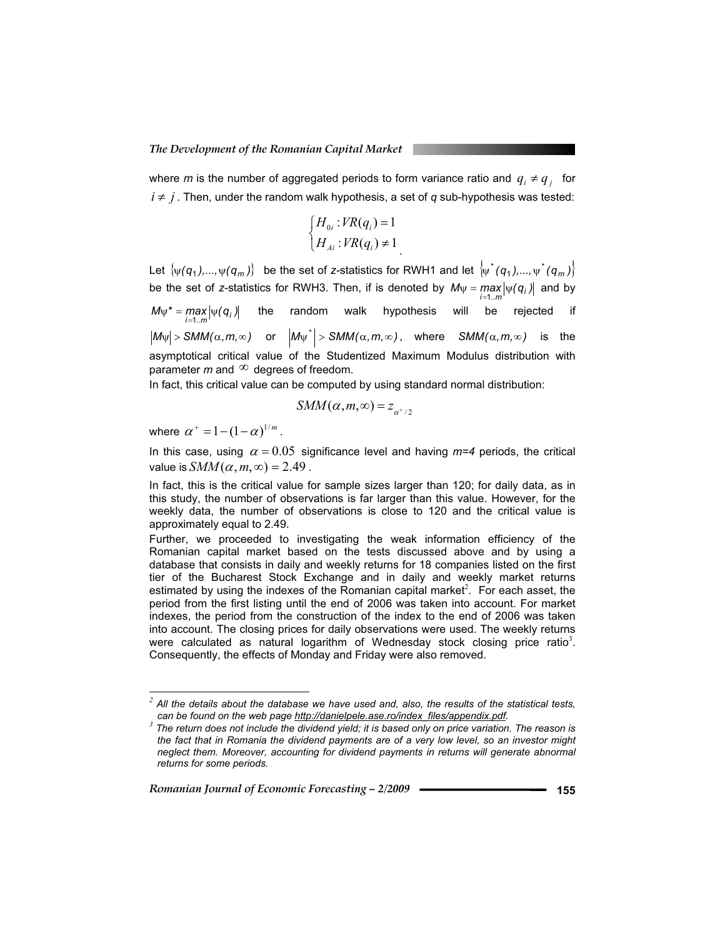where *m* is the number of aggregated periods to form variance ratio and  $q_i \neq q_j$  for  $i \neq j$ . Then, under the random walk hypothesis, a set of *q* sub-hypothesis was tested:

$$
\begin{cases} H_{0i} : VR(q_i) = 1 \\ H_{Ai} : VR(q_i) \neq 1 \end{cases}
$$

Let  $\{\psi(q_1),...,\psi(q_m)\}\)$  be the set of *z*-statistics for RWH1 and let  $\{\psi^*(q_1),...,\psi^*(q_m)\}\$ be the set of *z*-statistics for RWH3. Then, if is denoted by  $M_{\Psi} = \max_{i=1..m} |\psi(q_i)|$  $\max_{j=1..m}$   $|\psi(q_j)|$  and by  $M\psi^* = \max_{i=1..m} |\psi(q_i)|$  $\max\limits_{j=1..m}\lvert\psi(q_j)\rvert$  the random walk hypothesis will be rejected if<br>=1..m  $|M_{\psi}| > SMM(\alpha, m, \infty)$  or  $|M_{\psi}| > SMM(\alpha, m, \infty)$ , where  $SMM(\alpha, m, \infty)$  is the asymptotical critical value of the Studentized Maximum Modulus distribution with parameter  $m$  and  $\infty$  degrees of freedom.

In fact, this critical value can be computed by using standard normal distribution:

$$
SMM(\alpha,m,\infty)=z_{\alpha^+/2}
$$

where  $\alpha^+ = 1 - (1 - \alpha)^{1/m}$ .

In this case, using  $\alpha = 0.05$  significance level and having  $m=4$  periods, the critical value is  $SMM(\alpha, m, \infty) = 2.49$ .

In fact, this is the critical value for sample sizes larger than 120; for daily data, as in this study, the number of observations is far larger than this value. However, for the weekly data, the number of observations is close to 120 and the critical value is approximately equal to 2.49.

Further, we proceeded to investigating the weak information efficiency of the Romanian capital market based on the tests discussed above and by using a database that consists in daily and weekly returns for 18 companies listed on the first tier of the Bucharest Stock Exchange and in daily and weekly market returns estimated by using the indexes of the Romanian capital market<sup>2</sup>. For each asset, the period from the first listing until the end of 2006 was taken into account. For market indexes, the period from the construction of the index to the end of 2006 was taken into account. The closing prices for daily observations were used. The weekly returns were calculated as natural logarithm of Wednesday stock closing price ratio<sup>3</sup>. Consequently, the effects of Monday and Friday were also removed.

 *<sup>2</sup> All the details about the database we have used and, also, the results of the statistical tests,* 

*can be found on the web page http://danielpele.ase.ro/index\_files/appendix.pdf. <sup>3</sup> The return does not include the dividend yield; it is based only on price variation. The reason is the fact that in Romania the dividend payments are of a very low level, so an investor might neglect them. Moreover, accounting for dividend payments in returns will generate abnormal returns for some periods.*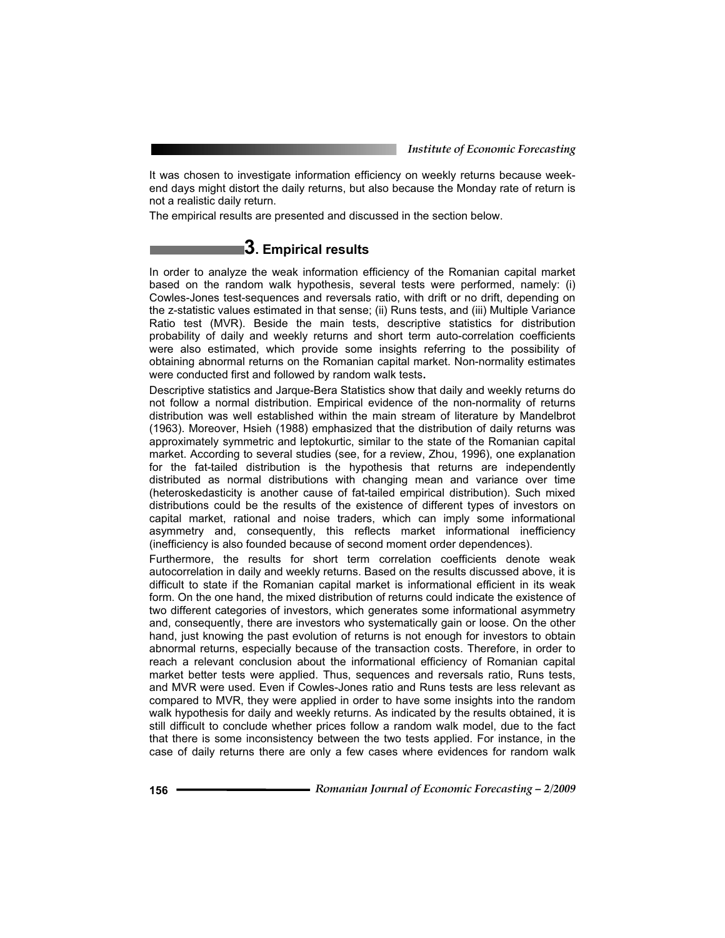It was chosen to investigate information efficiency on weekly returns because weekend days might distort the daily returns, but also because the Monday rate of return is not a realistic daily return.

The empirical results are presented and discussed in the section below.

### **3. Empirical results**

In order to analyze the weak information efficiency of the Romanian capital market based on the random walk hypothesis, several tests were performed, namely: (i) Cowles-Jones test-sequences and reversals ratio, with drift or no drift, depending on the z-statistic values estimated in that sense; (ii) Runs tests, and (iii) Multiple Variance Ratio test (MVR). Beside the main tests, descriptive statistics for distribution probability of daily and weekly returns and short term auto-correlation coefficients were also estimated, which provide some insights referring to the possibility of obtaining abnormal returns on the Romanian capital market. Non-normality estimates were conducted first and followed by random walk tests**.** 

Descriptive statistics and Jarque-Bera Statistics show that daily and weekly returns do not follow a normal distribution. Empirical evidence of the non-normality of returns distribution was well established within the main stream of literature by Mandelbrot (1963). Moreover, Hsieh (1988) emphasized that the distribution of daily returns was approximately symmetric and leptokurtic, similar to the state of the Romanian capital market. According to several studies (see, for a review, Zhou, 1996), one explanation for the fat-tailed distribution is the hypothesis that returns are independently distributed as normal distributions with changing mean and variance over time (heteroskedasticity is another cause of fat-tailed empirical distribution). Such mixed distributions could be the results of the existence of different types of investors on capital market, rational and noise traders, which can imply some informational asymmetry and, consequently, this reflects market informational inefficiency (inefficiency is also founded because of second moment order dependences).

Furthermore, the results for short term correlation coefficients denote weak autocorrelation in daily and weekly returns. Based on the results discussed above, it is difficult to state if the Romanian capital market is informational efficient in its weak form. On the one hand, the mixed distribution of returns could indicate the existence of two different categories of investors, which generates some informational asymmetry and, consequently, there are investors who systematically gain or loose. On the other hand, just knowing the past evolution of returns is not enough for investors to obtain abnormal returns, especially because of the transaction costs. Therefore, in order to reach a relevant conclusion about the informational efficiency of Romanian capital market better tests were applied. Thus, sequences and reversals ratio, Runs tests, and MVR were used. Even if Cowles-Jones ratio and Runs tests are less relevant as compared to MVR, they were applied in order to have some insights into the random walk hypothesis for daily and weekly returns. As indicated by the results obtained, it is still difficult to conclude whether prices follow a random walk model, due to the fact that there is some inconsistency between the two tests applied. For instance, in the case of daily returns there are only a few cases where evidences for random walk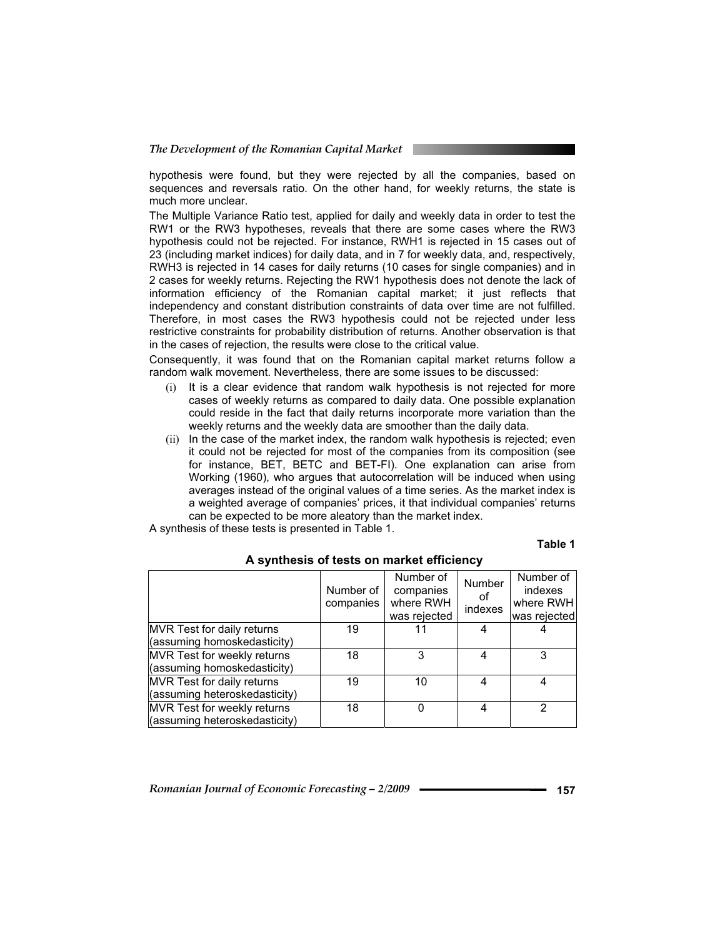hypothesis were found, but they were rejected by all the companies, based on sequences and reversals ratio. On the other hand, for weekly returns, the state is much more unclear.

The Multiple Variance Ratio test, applied for daily and weekly data in order to test the RW1 or the RW3 hypotheses, reveals that there are some cases where the RW3 hypothesis could not be rejected. For instance, RWH1 is rejected in 15 cases out of 23 (including market indices) for daily data, and in 7 for weekly data, and, respectively, RWH3 is rejected in 14 cases for daily returns (10 cases for single companies) and in 2 cases for weekly returns. Rejecting the RW1 hypothesis does not denote the lack of information efficiency of the Romanian capital market; it just reflects that independency and constant distribution constraints of data over time are not fulfilled. Therefore, in most cases the RW3 hypothesis could not be rejected under less restrictive constraints for probability distribution of returns. Another observation is that in the cases of rejection, the results were close to the critical value.

Consequently, it was found that on the Romanian capital market returns follow a random walk movement. Nevertheless, there are some issues to be discussed:

- (i) It is a clear evidence that random walk hypothesis is not rejected for more cases of weekly returns as compared to daily data. One possible explanation could reside in the fact that daily returns incorporate more variation than the weekly returns and the weekly data are smoother than the daily data.
- (ii) In the case of the market index, the random walk hypothesis is rejected; even it could not be rejected for most of the companies from its composition (see for instance, BET, BETC and BET-FI). One explanation can arise from Working (1960), who argues that autocorrelation will be induced when using averages instead of the original values of a time series. As the market index is a weighted average of companies' prices, it that individual companies' returns can be expected to be more aleatory than the market index.

A synthesis of these tests is presented in Table 1.

#### **Table 1**

|                                    | Number of<br>companies | Number of<br>companies<br>where RWH<br>was rejected | <b>Number</b><br>оf<br>indexes | Number of<br>indexes<br>where RWH<br>was rejected |
|------------------------------------|------------------------|-----------------------------------------------------|--------------------------------|---------------------------------------------------|
| MVR Test for daily returns         | 19                     |                                                     |                                |                                                   |
| (assuming homoskedasticity)        |                        |                                                     |                                |                                                   |
| <b>MVR</b> Test for weekly returns | 18                     | 3                                                   | 4                              |                                                   |
| (assuming homoskedasticity)        |                        |                                                     |                                |                                                   |
| MVR Test for daily returns         | 19                     | 10                                                  | 4                              |                                                   |
| (assuming heteroskedasticity)      |                        |                                                     |                                |                                                   |
| <b>MVR</b> Test for weekly returns | 18                     | U                                                   | 4                              |                                                   |
| (assuming heteroskedasticity)      |                        |                                                     |                                |                                                   |

 **A synthesis of tests on market efficiency**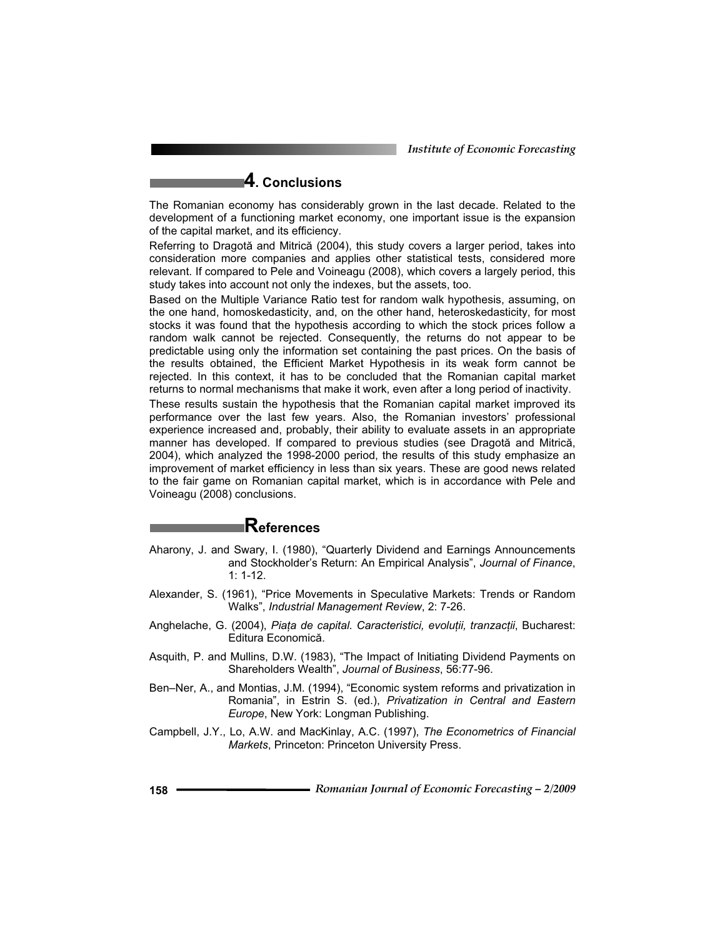*Institute of Economic Forecasting*

# **4. Conclusions**

The Romanian economy has considerably grown in the last decade. Related to the development of a functioning market economy, one important issue is the expansion of the capital market, and its efficiency.

Referring to Dragotă and Mitrică (2004), this study covers a larger period, takes into consideration more companies and applies other statistical tests, considered more relevant. If compared to Pele and Voineagu (2008), which covers a largely period, this study takes into account not only the indexes, but the assets, too.

Based on the Multiple Variance Ratio test for random walk hypothesis, assuming, on the one hand, homoskedasticity, and, on the other hand, heteroskedasticity, for most stocks it was found that the hypothesis according to which the stock prices follow a random walk cannot be rejected. Consequently, the returns do not appear to be predictable using only the information set containing the past prices. On the basis of the results obtained, the Efficient Market Hypothesis in its weak form cannot be rejected. In this context, it has to be concluded that the Romanian capital market returns to normal mechanisms that make it work, even after a long period of inactivity.

These results sustain the hypothesis that the Romanian capital market improved its performance over the last few years. Also, the Romanian investors' professional experience increased and, probably, their ability to evaluate assets in an appropriate manner has developed. If compared to previous studies (see Dragotă and Mitrică, 2004), which analyzed the 1998-2000 period, the results of this study emphasize an improvement of market efficiency in less than six years. These are good news related to the fair game on Romanian capital market, which is in accordance with Pele and Voineagu (2008) conclusions.

### **References**

- Aharony, J. and Swary, I. (1980), "Quarterly Dividend and Earnings Announcements and Stockholder's Return: An Empirical Analysis", *Journal of Finance*, 1: 1-12.
- Alexander, S. (1961), "Price Movements in Speculative Markets: Trends or Random Walks", *Industrial Management Review*, 2: 7-26.
- Anghelache, G. (2004), *Piaa de capital. Caracteristici, evoluii, tranzacii*, Bucharest: Editura Economică.
- Asquith, P. and Mullins, D.W. (1983), "The Impact of Initiating Dividend Payments on Shareholders Wealth", *Journal of Business*, 56:77-96.
- Ben–Ner, A., and Montias, J.M. (1994), "Economic system reforms and privatization in Romania", in Estrin S. (ed.), *Privatization in Central and Eastern Europe*, New York: Longman Publishing.
- Campbell, J.Y., Lo, A.W. and MacKinlay, A.C. (1997), *The Econometrics of Financial Markets*, Princeton: Princeton University Press.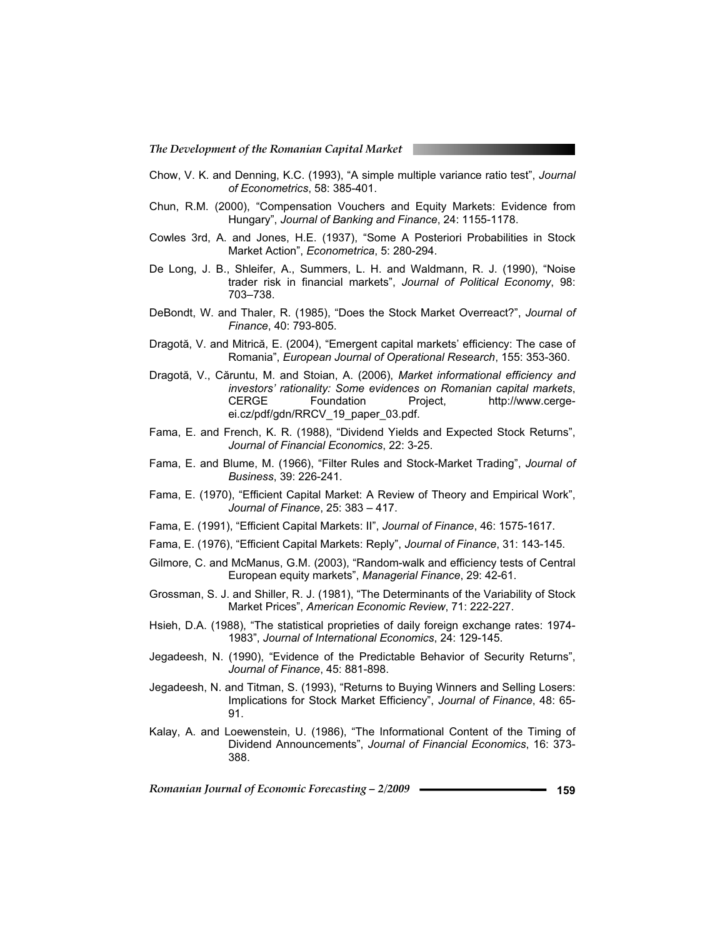- Chow, V. K. and Denning, K.C. (1993), "A simple multiple variance ratio test", *Journal of Econometrics*, 58: 385-401.
- Chun, R.M. (2000), "Compensation Vouchers and Equity Markets: Evidence from Hungary", *Journal of Banking and Finance*, 24: 1155-1178.
- Cowles 3rd, A. and Jones, H.E. (1937), "Some A Posteriori Probabilities in Stock Market Action", *Econometrica*, 5: 280-294.
- De Long, J. B., Shleifer, A., Summers, L. H. and Waldmann, R. J. (1990), "Noise trader risk in financial markets", *Journal of Political Economy*, 98: 703–738.
- DeBondt, W. and Thaler, R. (1985), "Does the Stock Market Overreact?", *Journal of Finance*, 40: 793-805.
- Dragotă, V. and Mitrică, E. (2004), "Emergent capital markets' efficiency: The case of Romania", *European Journal of Operational Research*, 155: 353-360.
- Dragotă, V., Căruntu, M. and Stoian, A. (2006), *Market informational efficiency and investors' rationality: Some evidences on Romanian capital markets*, CERGE Foundation Project, http://www.cergeei.cz/pdf/gdn/RRCV\_19\_paper\_03.pdf.
- Fama, E. and French, K. R. (1988), "Dividend Yields and Expected Stock Returns", *Journal of Financial Economics*, 22: 3-25.
- Fama, E. and Blume, M. (1966), "Filter Rules and Stock-Market Trading", *Journal of Business*, 39: 226-241.
- Fama, E. (1970), "Efficient Capital Market: A Review of Theory and Empirical Work", *Journal of Finance*, 25: 383 – 417.
- Fama, E. (1991), "Efficient Capital Markets: II", *Journal of Finance*, 46: 1575-1617.
- Fama, E. (1976), "Efficient Capital Markets: Reply", *Journal of Finance*, 31: 143-145.
- Gilmore, C. and McManus, G.M. (2003), "Random-walk and efficiency tests of Central European equity markets", *Managerial Finance*, 29: 42-61.
- Grossman, S. J. and Shiller, R. J. (1981), "The Determinants of the Variability of Stock Market Prices", *American Economic Review*, 71: 222-227.
- Hsieh, D.A. (1988), "The statistical proprieties of daily foreign exchange rates: 1974- 1983", *Journal of International Economics*, 24: 129-145.
- Jegadeesh, N. (1990), "Evidence of the Predictable Behavior of Security Returns", *Journal of Finance*, 45: 881-898.
- Jegadeesh, N. and Titman, S. (1993), "Returns to Buying Winners and Selling Losers: Implications for Stock Market Efficiency", *Journal of Finance*, 48: 65- 91.
- Kalay, A. and Loewenstein, U. (1986), "The Informational Content of the Timing of Dividend Announcements", *Journal of Financial Economics*, 16: 373- 388.